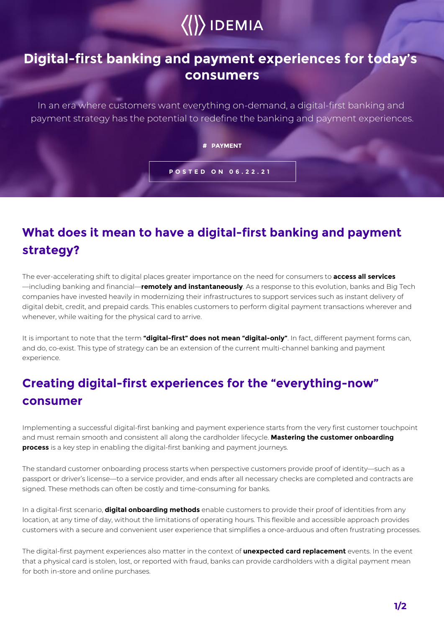# $\langle\langle\rangle\rangle$  IDEMIA

#### **Digital-first banking and payment experiences for today's consumers**

In an era where customers want everything on-demand, a digital-first banking and payment strategy has the potential to redefine the banking and payment experiences.

**# PAYMENT**

**POSTED ON 06.22.21**

## **What does it mean to have a digital-first banking and payment strategy?**

The ever-accelerating shift to digital places greater importance on the need for consumers to **access all services** —including banking and financial—**remotely and instantaneously**. As a response to this evolution, banks and Big Tech companies have invested heavily in modernizing their infrastructures to support services such as instant delivery of digital debit, credit, and prepaid cards. This enables customers to perform digital payment transactions wherever and whenever, while waiting for the physical card to arrive.

It is important to note that the term **"digital-first" does not mean "digital-only"**. In fact, different payment forms can, and do, co-exist. This type of strategy can be an extension of the current multi-channel banking and payment experience.

## **Creating digital-first experiences for the "everything-now" consumer**

Implementing a successful digital-first banking and payment experience starts from the very first customer touchpoint and must remain smooth and consistent all along the cardholder lifecycle. **Mastering the customer onboarding process** is a key step in enabling the digital-first banking and payment journeys.

The standard customer onboarding process starts when perspective customers provide proof of identity—such as a passport or driver's license—to a service provider, and ends after all necessary checks are completed and contracts are signed. These methods can often be costly and time-consuming for banks.

In a digital-first scenario, **digital onboarding methods** enable customers to provide their proof of identities from any location, at any time of day, without the limitations of operating hours. This flexible and accessible approach provides customers with a secure and convenient user experience that simplifies a once-arduous and often frustrating processes.

The digital-first payment experiences also matter in the context of **unexpected card replacement** events. In the event that a physical card is stolen, lost, or reported with fraud, banks can provide cardholders with a digital payment mean for both in-store and online purchases.